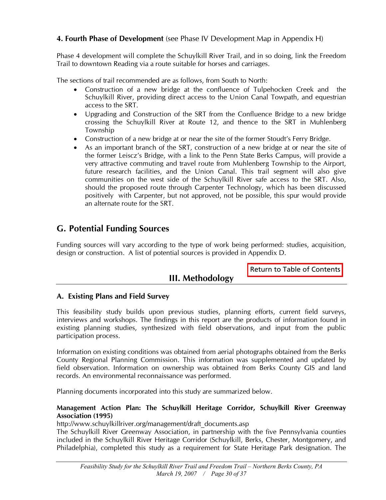design or construction. A list of potential sources is provided in Appendix D.

#### **A. Existing Plans and Field Survey**

This feasibility study builds upon previous studies, planning efforts, current field surveys, interviews and workshops. The findings in this report are the products of information found in existing planning studies, synthesized with field observations, and input from the public participation process.

Information on existing conditions was obtained from aerial photographs obtained from the Berks County Regional Planning Commission. This information was supplemented and updated by field observation. Information on ownership was obtained from Berks County GIS and land records. An environmental reconnaissance was performed.

Planning documents incorporated into this study are summarized below.

#### **Management Action Plan: The Schuylkill Heritage Corridor, Schuylkill River Greenway Association (1995)**

http://www.schuylkillriver.org/management/draft\_documents.asp

The Schuylkill River Greenway Association, in partnership with the five Pennsylvania counties included in the Schuylkill River Heritage Corridor (Schuylkill, Berks, Chester, Montgomery, and Philadelphia), completed this study as a requirement for State Heritage Park designation. The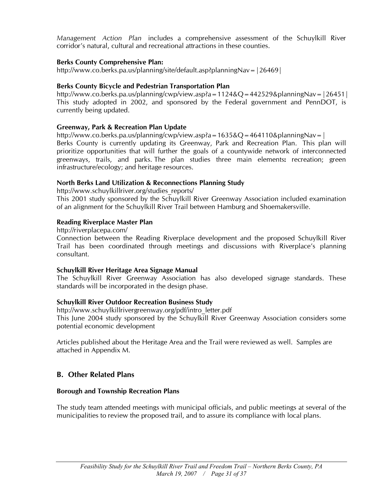*Management Action Plan* includes a comprehensive assessment of the Schuylkill River corridor's natural, cultural and recreational attractions in these counties.

### **Berks County Comprehensive Plan:**

http://www.co.berks.pa.us/planning/site/default.asp?planningNav=|26469|

## **Berks County Bicycle and Pedestrian Transportation Plan**

http://www.co.berks.pa.us/planning/cwp/view.asp?a=1124&Q=442529&planningNav=|26451| This study adopted in 2002, and sponsored by the Federal government and PennDOT, is currently being updated.

## **Greenway, Park & Recreation Plan Update**

http://www.co.berks.pa.us/planning/cwp/view.asp?a=1635&Q=464110&planningNav=| Berks County is currently updating its Greenway, Park and Recreation Plan. This plan will prioritize opportunities that will further the goals of a countywide network of interconnected greenways, trails, and parks. The plan studies three main elements**:** recreation; green infrastructure/ecology; and heritage resources.

## **North Berks Land Utilization & Reconnections Planning Study**

http://www.schuylkillriver.org/studies\_reports/

This 2001 study sponsored by the Schuylkill River Greenway Association included examination of an alignment for the Schuylkill River Trail between Hamburg and Shoemakersville.

### **Reading Riverplace Master Plan**

http://riverplacepa.com/

Connection between the Reading Riverplace development and the proposed Schuylkill River Trail has been coordinated through meetings and discussions with Riverplace's planning consultant.

### **Schuylkill River Heritage Area Signage Manual**

The Schuylkill River Greenway Association has also developed signage standards. These standards will be incorporated in the design phase.

### **Schuylkill River Outdoor Recreation Business Study**

http://www.schuylkillrivergreenway.org/pdf/intro\_letter.pdf

This June 2004 study sponsored by the Schuylkill River Greenway Association considers some potential economic development

Articles published about the Heritage Area and the Trail were reviewed as well. Samples are attached in Appendix M.

# **B. Other Related Plans**

### **Borough and Township Recreation Plans**

The study team attended meetings with municipal officials, and public meetings at several of the municipalities to review the proposed trail, and to assure its compliance with local plans.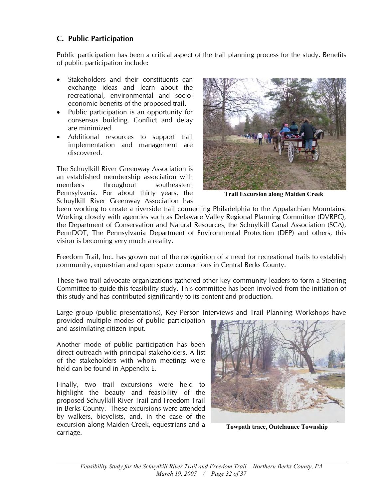## **C. Public Participation**

Public participation has been a critical aspect of the trail planning process for the study. Benefits of public participation include:

- Stakeholders and their constituents can exchange ideas and learn about the recreational, environmental and socioeconomic benefits of the proposed trail.
- Public participation is an opportunity for consensus building. Conflict and delay are minimized.
- Additional resources to support trail implementation and management are discovered.

The Schuylkill River Greenway Association is an established membership association with members throughout southeastern Pennsylvania. For about thirty years, the Schuylkill River Greenway Association has



**Trail Excursion along Maiden Creek** 

been working to create a riverside trail connecting Philadelphia to the Appalachian Mountains. Working closely with agencies such as Delaware Valley Regional Planning Committee (DVRPC), the Department of Conservation and Natural Resources, the Schuylkill Canal Association (SCA), PennDOT, The Pennsylvania Department of Environmental Protection (DEP) and others, this vision is becoming very much a reality.

Freedom Trail, Inc. has grown out of the recognition of a need for recreational trails to establish community, equestrian and open space connections in Central Berks County.

These two trail advocate organizations gathered other key community leaders to form a Steering Committee to guide this feasibility study. This committee has been involved from the initiation of this study and has contributed significantly to its content and production.

Large group (public presentations), Key Person Interviews and Trail Planning Workshops have provided multiple modes of public participation

and assimilating citizen input.

Another mode of public participation has been direct outreach with principal stakeholders. A list of the stakeholders with whom meetings were held can be found in Appendix E.

Finally, two trail excursions were held to highlight the beauty and feasibility of the proposed Schuylkill River Trail and Freedom Trail in Berks County. These excursions were attended by walkers, bicyclists, and, in the case of the excursion along Maiden Creek, equestrians and a carriage.



**Towpath trace, Ontelaunee Township**